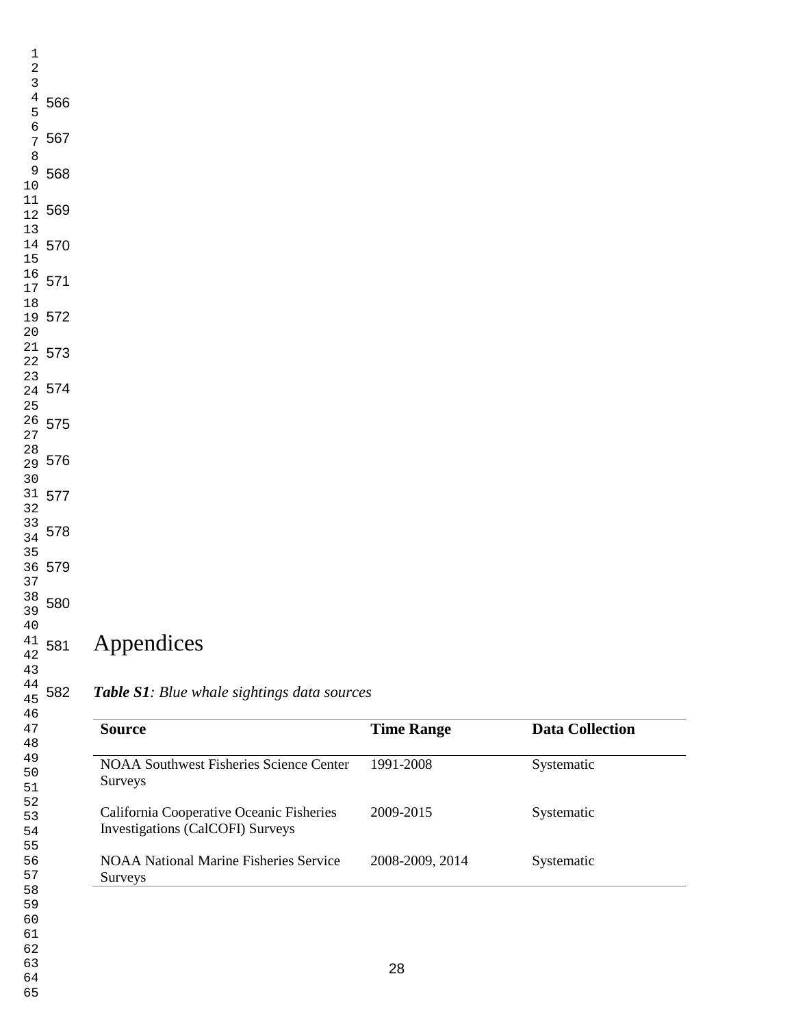| 59<br>60<br>61<br>62<br>63<br>64<br>65                         |                                                                              | 28                |                        |
|----------------------------------------------------------------|------------------------------------------------------------------------------|-------------------|------------------------|
| 55<br>56<br>57<br>58                                           | <b>NOAA National Marine Fisheries Service</b><br>Surveys                     | 2008-2009, 2014   | Systematic             |
| 52<br>53<br>54                                                 | California Cooperative Oceanic Fisheries<br>Investigations (CalCOFI) Surveys | 2009-2015         | Systematic             |
| 49<br>50<br>$51\,$                                             | <b>NOAA Southwest Fisheries Science Center</b><br>Surveys                    | 1991-2008         | Systematic             |
| 46<br>47<br>48                                                 | <b>Source</b>                                                                | <b>Time Range</b> | <b>Data Collection</b> |
| 44<br>582<br>45                                                | Table S1: Blue whale sightings data sources                                  |                   |                        |
| 40<br>41<br>581<br>42<br>43                                    | Appendices                                                                   |                   |                        |
| $37\,$<br>38<br>39<br>580                                      |                                                                              |                   |                        |
| 35<br>36 579                                                   |                                                                              |                   |                        |
| $3\sqrt{2}$<br>$\begin{array}{c} 33 \\ 34 \end{array}$ 578     |                                                                              |                   |                        |
| $30$<br>31 577                                                 |                                                                              |                   |                        |
| 27<br>$\begin{array}{c} 28 \\ 29 \end{array}$ 576              |                                                                              |                   |                        |
| 24 574<br>25<br>$26$ 575                                       |                                                                              |                   |                        |
| $\begin{smallmatrix} 21 & 573 \\ 22 & \end{smallmatrix}$<br>23 |                                                                              |                   |                        |
| 19 572<br>$2\,0$                                               |                                                                              |                   |                        |
| 16<br>17<br>571<br>$18\,$                                      |                                                                              |                   |                        |
| 14 570                                                         |                                                                              |                   |                        |
| 569                                                            |                                                                              |                   |                        |
| 8<br>$\begin{array}{c} 9 \\ 10 \end{array}$<br>568             |                                                                              |                   |                        |
| 567                                                            |                                                                              |                   |                        |
| 4567<br>566                                                    |                                                                              |                   |                        |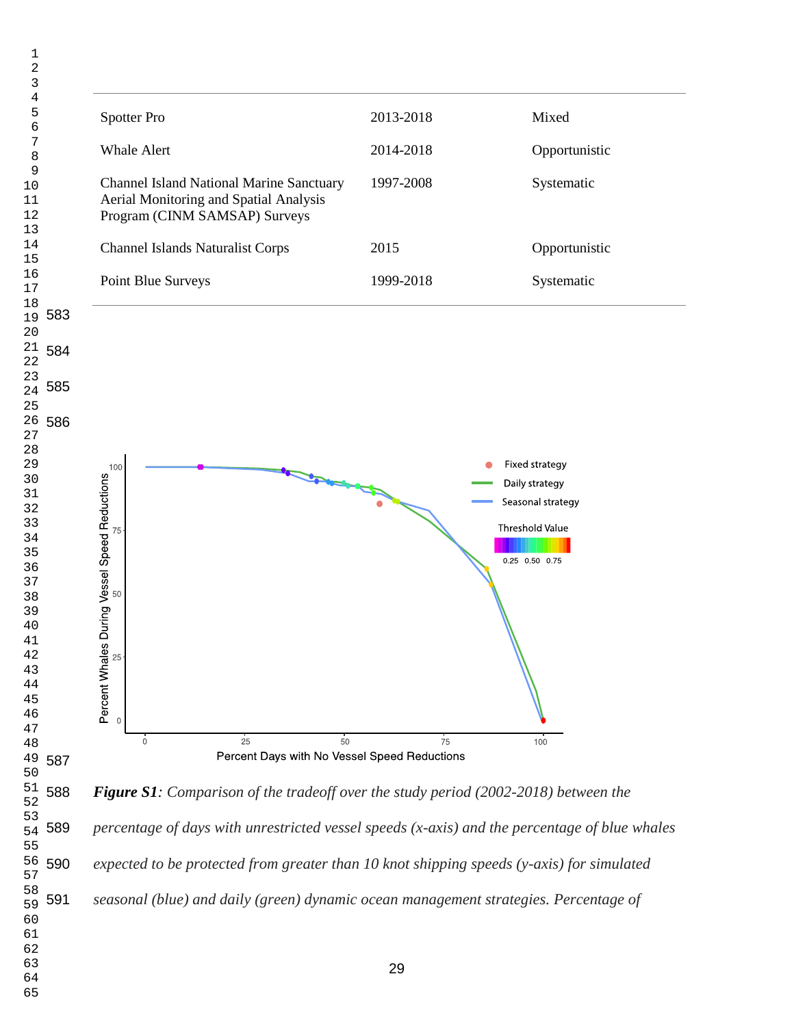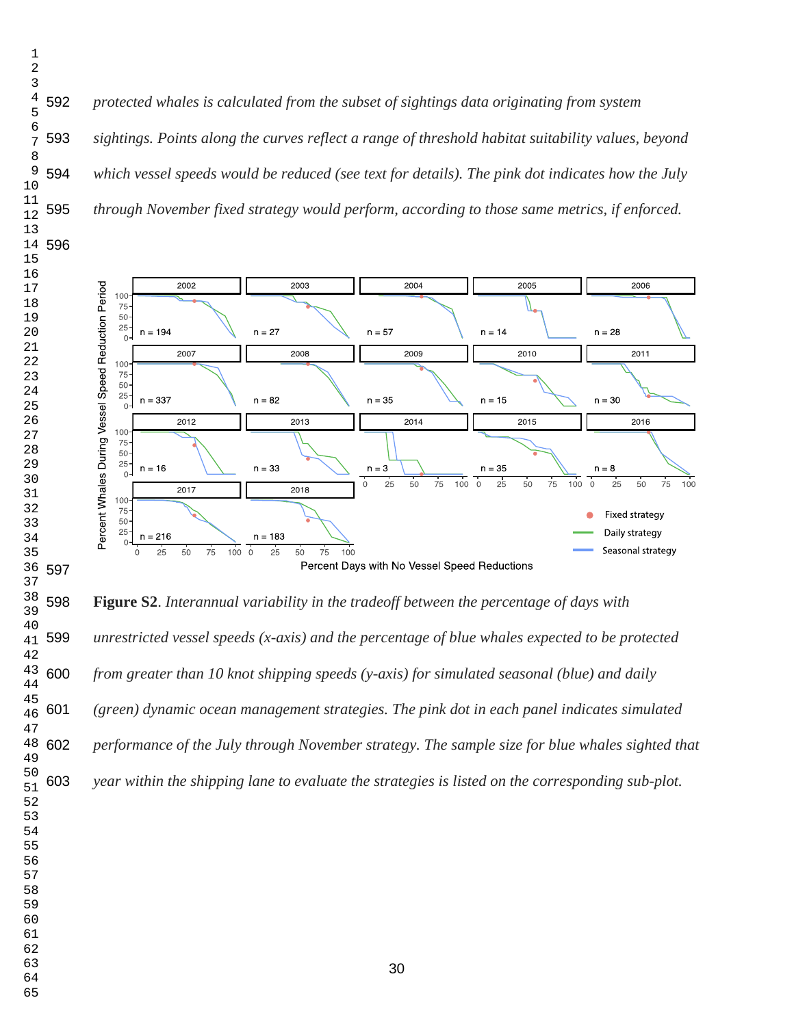*protected whales is calculated from the subset of sightings data originating from system sightings. Points along the curves reflect a range of threshold habitat suitability values, beyond which vessel speeds would be reduced (see text for details). The pink dot indicates how the July through November fixed strategy would perform, according to those same metrics, if enforced.*



 **Figure S2**. *Interannual variability in the tradeoff between the percentage of days with unrestricted vessel speeds (x-axis) and the percentage of blue whales expected to be protected from greater than 10 knot shipping speeds (y-axis) for simulated seasonal (blue) and daily (green) dynamic ocean management strategies. The pink dot in each panel indicates simulated performance of the July through November strategy. The sample size for blue whales sighted that year within the shipping lane to evaluate the strategies is listed on the corresponding sub-plot.*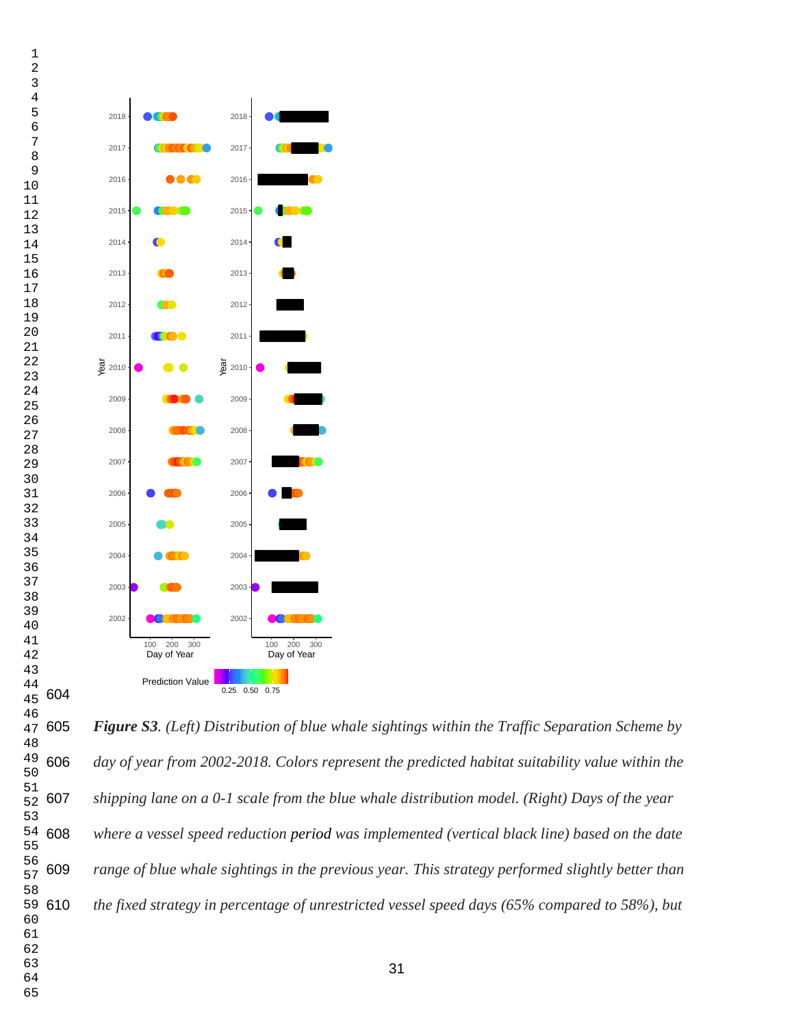

 54 608 59 610 

 *Figure S3. (Left) Distribution of blue whale sightings within the Traffic Separation Scheme by day of year from 2002-2018. Colors represent the predicted habitat suitability value within the shipping lane on a 0-1 scale from the blue whale distribution model. (Right) Days of the year where a vessel speed reduction period was implemented (vertical black line) based on the date range of blue whale sightings in the previous year. This strategy performed slightly better than the fixed strategy in percentage of unrestricted vessel speed days (65% compared to 58%), but*